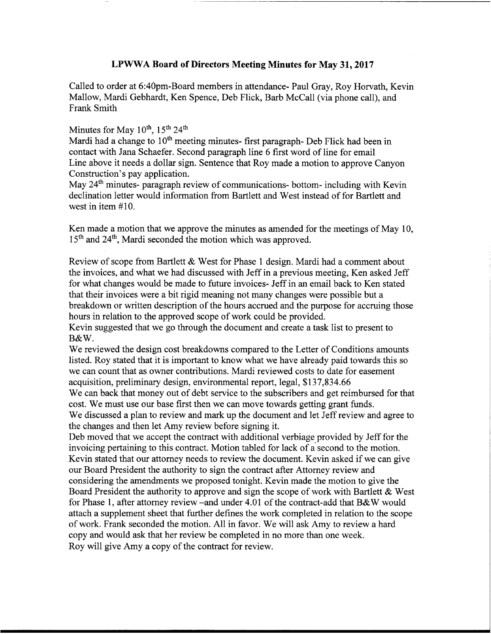## LPWWA Board of Directors Meeting Minutes for May 31, 2017

Called to order at 6:40pm-Board members in attendance- Paul Gray, Roy Horvath, Kevin Mallow, Mardi Gebhardt, Ken Spence, Deb Flick, Barb McCall (via phone call), and Frank Smith

## Minutes for May  $10^{th}$ ,  $15^{th}$   $24^{th}$

Mardi had a change to  $10<sup>th</sup>$  meeting minutes- first paragraph- Deb Flick had been in contact with Jana Schaefer. Second paragraph line 6 first word of line for email Line above it needs <sup>a</sup> dollar sign. Sentence that Roy made a motion to approve Canyon Construction's pay application.

May 24<sup>th</sup> minutes- paragraph review of communications- bottom- including with Kevin declination letter would information from Bartlett and West instead of for Bartlett and west in item #10.

Ken made <sup>a</sup> motion that we approve the minutes as amended for the meetings of May 10, l5'h and 24'h, Mardi seconded the motion which was approved.

Review of scope from Bartlett & West for Phase <sup>1</sup> design. Mardi had <sup>a</sup> comment about the invoices, and what we had discussed with Jeff in a previous meeting, Ken asked Jeff <sup>1</sup> for what changes would be made to future invoices- Jeff in an email back to Ken stated that their invoices were a bit rigid meaning not many changes were possible but a <sup>l</sup> breakdown or written description of the hours accrued and the purpose for accruing those hours in relation to the approved scope of work could be provided.

Kevin suggested that we go through the document and create a task list to present to <sup>1</sup> B&W.

We reviewed the design cost breakdowns compared to the Letter of Conditions amounts listed. Roy stated that it is important to know what we have already paid towards this so we can count that as owner contributions. Mardi reviewed costs to date for easement acquisition, preliminary design, enviromnental report, legal, \$137,834.66

We can back that money out of debt service to the subscribers and get reimbursed for that cost. We must use our base first then we can move towards getting grant funds.

We discussed a plan to review and mark up the document and let Jeff review and agree to the changes and then let Amy review before signing it.

Deb moved that we accept the contract with additional verbiage provided by Jeff for the invoicing pertaining to this contract. Motion tabled for lack of a second to the motion. Kevin stated that our attorney needs to review the document. Kevin asked if we can give our Board President the authority to sign the contract after Attorney review and considering the amendments we proposed tonight. Kevin made the motion to give the Board President the authority to approve and sign the scope of work with Bartlett & West for Phase 1, after attorney review –and under 4.01 of the contract-add that B&W would attach a supplement sheet that further defines the work completed in relation to the scope of work. Frank seconded the motion. All in favor. We will ask Amy to review <sup>a</sup> hard copy and would ask that her review be completed in no more than one week. Roy will give Amy a copy of the contract for review.